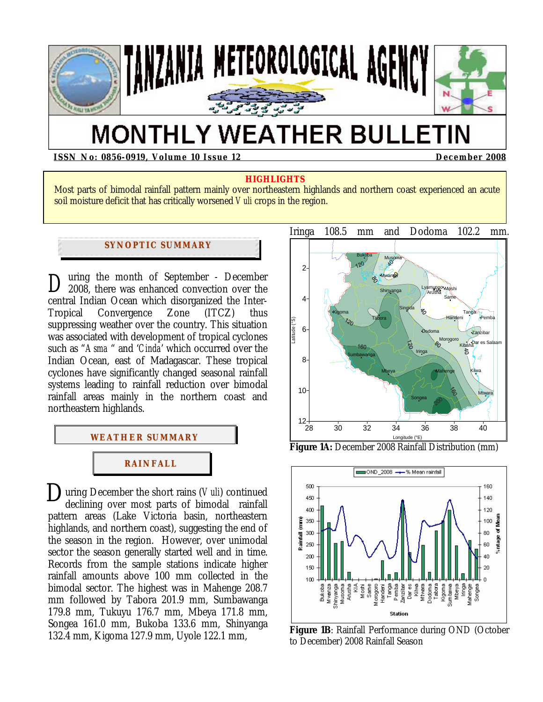

# **MONTHLY WEATHER BULLETIN**

**ISSN No: 0856-0919, Volume 10 Issue 12 December 2008** 

#### **HIGHLIGHTS**

Most parts of bimodal rainfall pattern mainly over northeastern highlands and northern coast experienced an acute soil moisture deficit that has critically worsened *Vuli* crops in the region.

#### **SYNOPTIC SUMMARY**

uring the month of September - December 2008, there was enhanced convection over the central Indian Ocean which disorganized the Inter-Tropical Convergence Zone (ITCZ) thus suppressing weather over the country. This situation was associated with development of tropical cyclones such as "*Asma* " and '*Cinda*' which occurred over the Indian Ocean, east of Madagascar. These tropical cyclones have significantly changed seasonal rainfall systems leading to rainfall reduction over bimodal rainfall areas mainly in the northern coast and northeastern highlands. *D*



**D**uring December the short rains (*Vuli*) continued declining over most parts of bimodal rainfall declining over most parts of bimodal rainfall pattern areas (Lake Victoria basin, northeastern highlands, and northern coast), suggesting the end of the season in the region. However, over unimodal sector the season generally started well and in time. Records from the sample stations indicate higher rainfall amounts above 100 mm collected in the bimodal sector. The highest was in Mahenge 208.7 mm followed by Tabora 201.9 mm, Sumbawanga 179.8 mm, Tukuyu 176.7 mm, Mbeya 171.8 mm, Songea 161.0 mm, Bukoba 133.6 mm, Shinyanga 132.4 mm, Kigoma 127.9 mm, Uyole 122.1 mm,





**Figure 1B**: Rainfall Performance during OND (October to December) 2008 Rainfall Season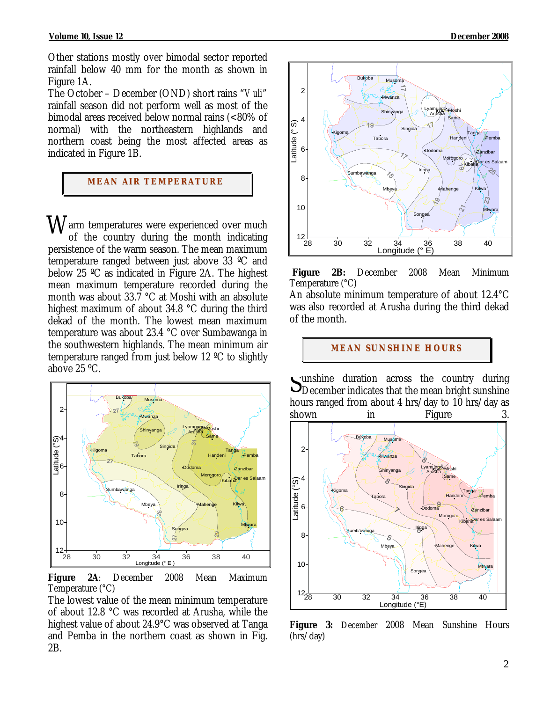Other stations mostly over bimodal sector reported rainfall below 40 mm for the month as shown in Figure 1A.

The October – December (OND) short rains "*Vuli*" rainfall season did not perform well as most of the bimodal areas received below normal rains (<80% of normal) with the northeastern highlands and northern coast being the most affected areas as indicated in Figure 1B.

## **MEAN AIR TEMPERATURE**

 $W$ arm temperatures were experienced over much<br>of the country during the month indicating of the country during the month indicating persistence of the warm season. The mean maximum temperature ranged between just above 33 ºC and below 25 ºC as indicated in Figure 2A. The highest mean maximum temperature recorded during the month was about 33.7 °C at Moshi with an absolute highest maximum of about 34.8 °C during the third dekad of the month. The lowest mean maximum temperature was about 23.4 °C over Sumbawanga in the southwestern highlands. The mean minimum air temperature ranged from just below 12 ºC to slightly above 25 ºC.



**Figure 2A**: December 2008 Mean Maximum Temperature (°C)

The lowest value of the mean minimum temperature of about 12.8 °C was recorded at Arusha, while the highest value of about 24.9°C was observed at Tanga and Pemba in the northern coast as shown in Fig. 2B.



**Figure 2B:** December 2008 Mean Minimum Temperature (°C)

An absolute minimum temperature of about 12.4°C was also recorded at Arusha during the third dekad of the month.

**MEAN SUNSHINE HOURS** 

Sunshine duration across the country during<br>December indicates that the mean bright sunshine DDecember indicates that the mean bright sunshine hours ranged from about 4 hrs/day to 10 hrs/day as shown in Figure



**Figure 3:** December 2008 Mean Sunshine Hours (hrs/day)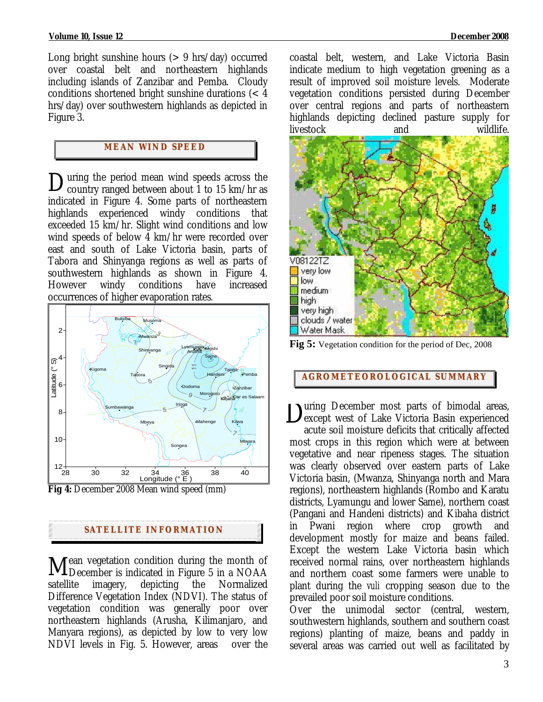Long bright sunshine hours  $(> 9 \text{ hrs/day})$  occurred over coastal belt and northeastern highlands including islands of Zanzibar and Pemba. Cloudy conditions shortened bright sunshine durations (< 4 hrs/day) over southwestern highlands as depicted in Figure 3.

## **MEAN WI ND SPEED**

uring the period mean wind speeds across the During the period mean wind speeds across the country ranged between about 1 to 15 km/hr as indicated in Figure 4. Some parts of northeastern highlands experienced windy conditions that exceeded 15 km/hr. Slight wind conditions and low wind speeds of below 4 km/hr were recorded over east and south of Lake Victoria basin, parts of Tabora and Shinyanga regions as well as parts of southwestern highlands as shown in Figure 4. However windy conditions have increased occurrences of higher evaporation rates*.* 



**Fig 4:** December 2008 Mean wind speed (mm)

#### **SATELLITE I NFORMATION**

 $\mathbf{f}$  ean vegetation condition during the month of Mean vegetation condition during the month of<br>December is indicated in Figure 5 in a NOAA satellite imagery, depicting the Normalized Difference Vegetation Index (NDVI). The status of vegetation condition was generally poor over northeastern highlands (Arusha, Kilimanjaro, and Manyara regions), as depicted by low to very low NDVI levels in Fig. 5. However, areas over the

coastal belt, western, and Lake Victoria Basin indicate medium to high vegetation greening as a result of improved soil moisture levels. Moderate vegetation conditions persisted during December over central regions and parts of northeastern highlands depicting declined pasture supply for livestock and wildlife.



**Fig 5:** Vegetation condition for the period of Dec, 2008

#### **AGROMETEOROLOGICAL SUMMARY**

uring December most parts of bimodal areas, except west of Lake Victoria Basin experienced acute soil moisture deficits that critically affected most crops in this region which were at between vegetative and near ripeness stages. The situation was clearly observed over eastern parts of Lake Victoria basin, (Mwanza, Shinyanga north and Mara regions), northeastern highlands (Rombo and Karatu districts, Lyamungu and lower Same), northern coast (Pangani and Handeni districts) and Kibaha district in Pwani region where crop growth and development mostly for maize and beans failed. Except the western Lake Victoria basin which received normal rains, over northeastern highlands and northern coast some farmers were unable to plant during the *vuli* cropping season due to the prevailed poor soil moisture conditions.  $D_{\epsilon}$ 

Over the unimodal sector (central, western, southwestern highlands, southern and southern coast regions) planting of maize, beans and paddy in several areas was carried out well as facilitated by